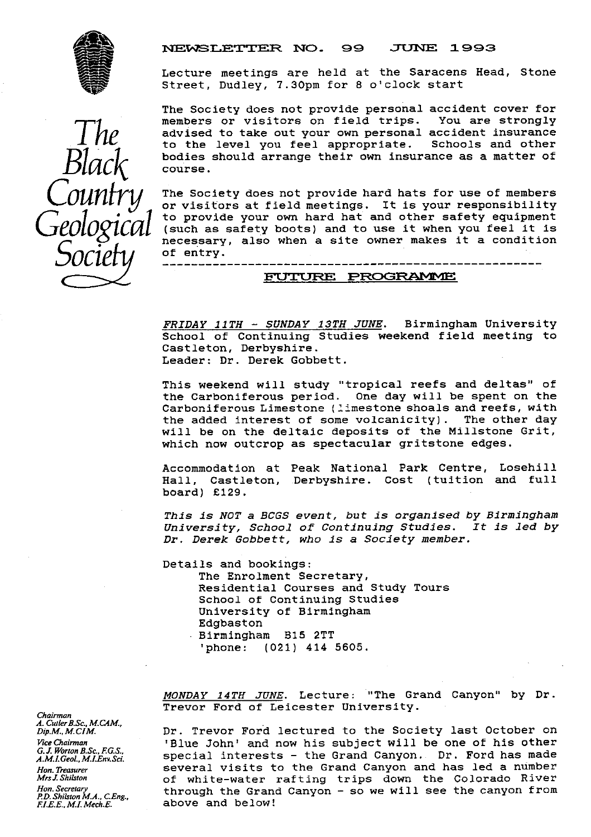

#### NEWSLETTER NO. 99 JUNE 1993

Lecture meetings are held at the Saracens Head, Stone Street, Dudley, 7.30pm for 8 o'clock start

The Society does not provide personal accident cover for<br>members or visitors on field trips. You are strongly members or visitors on field trips. advised to take out your own personal accident insurance<br>to the level you feel appropriate. Schools and other to the level you feel appropriate. **BlaC** bodies should arrange their own insurance as a matter of course.

The Society does not provide hard hats for use of members<br>or visitors at field meetings. It is your responsibility<br>to provide your own hard hat and other safety equipment or visitors at field meetings. It is your responsibility (such as safety boots) and to use it when you feel it is necessary, also when a site owner makes it a condition of entry.

#### FUTURE PROGRAMME

FRIDAY 11TH - SUNDAY 13TH JUNE. Birmingham University School of Continuing Studies weekend field meeting to Castleton, Derbyshire. Leader: Dr. Derek Gobbett.

This weekend will study "tropical reefs and deltas" of the Carboniferous period. One day will be spent on the Carboniferous Limestone (limestone shoals and reefs, with<br>the added interest of some volcanicity). The other day the added interest of some volcanicity). will be on the deltaic deposits of the Millstone Grit, which now outcrop as spectacular gritstone edges.

Accommodation at Peak National Park Centre, Losehill Hall, Castleton, Derbyshire. Cost (tuition and full board) £129.

*This is NOT a BCGS event,* but *is organised by Birmingham* University, School of Continuing Studies. Dr. Derek Gobbett, who is a Society member.

Details and bookings: The Enrolment Secretary, Residential Courses and Study Tours School of Continuing Studies University of Birmingham Edgbaston Birmingham B15 2TT ' phone: (021) 414 5605.

MONDAY 14TH JUNE. Lecture: "The Grand Canyon" by Dr. Trevor Ford of Leicester University.

Dr. Trevor Ford lectured to the Society last October on *Vice Chairman* 'Blue John' and now his subject will be one of his other *G.J. Worton B.Sc., F.G.S.*, **produce** interests - the Grand Canyon. Dr. Ford has made *A.M.I.Geol., M.I.Env.Sci.* **produce** special interests - the Grand Canyon. Dr. Ford has made Hon. Treasurer **Several visits to the Grand Canyon and has led a number**<br>Mrs. *L. Shilston* and the white-water rafting trips down the Colorado River *MrsIShilston* of white-water rafting trips down the Colorado River through the Grand Canyon - so we will see the canyon from above and below! *F.I.*E.*E., M.LMech.E.* above and below!

*Chairman A. CutlerB.Sc., M.CAM., G.J..I.Geol. M.I.*

*Hon. Secretary*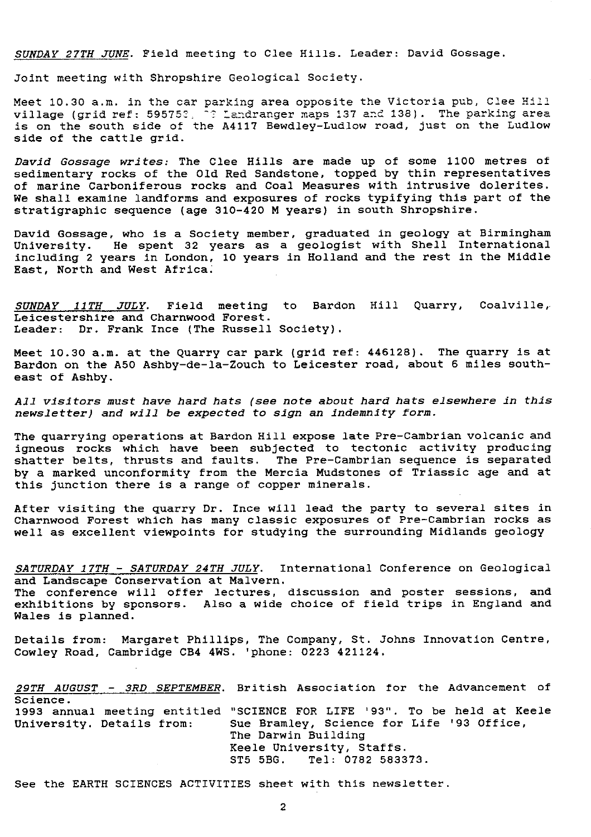SUNDAY 27TH JUNE. Field meeting to Clee Hills. Leader: David Gossage.

Joint meeting with Shropshire Geological Society.

Meet 10.30 a.m. in the car parking area opposite the Victoria pub, Clee Hill village (grid ref: 595752,  $\frac{1}{2}$  Landranger maps 137 and 138). The parking area is on the south side of the A4117 Bewdley-Ludlow road, just on the Ludlow side of the cattle grid.

David Gossage writes: The Clee Hills are made up of some 1100 metres of sedimentary rocks of the Old Red Sandstone, topped by thin representatives of marine Carboniferous rocks and Coal Measures with intrusive dolerites. We shall examine landforms and exposures of rocks typifying this part of the stratigraphic sequence (age 310-420 M *years) in south* Shropshire.

David Gossage, who is a Society member, graduated in geology at Birmingham University. He spent 32 years as a geologist with Shell International including 2 years in London, 10 years in Holland and the rest in the Middle East, North and West Africa.

*SUNDAY 11TH JULY.* Field meeting to Bardon Hill Quarry, Coalville, Leicestershire and Charnwood Forest. Leader: Dr. Frank Ince (The Russell Society).

Meet 10.30 a.m. at the Quarry car park (grid ref; 446128). The quarry is at Bardon on the A50 Ashby-de-la-Zouch to Leicester road, about 6 miles southeast of Ashby.

All visitors must have hard hats *(see note about* hard hats elsewhere *in this newsletter) and will be* expected to sign an *indemnity form.*

The quarrying operations at Bardon Hill expose late Pre-Cambrian volcanic and igneous rocks which have been subjected to tectonic activity producing shatter belts, thrusts and faults. The Pre-Cambrian sequence is separated by a marked unconformity from the Mercia Mudstones of Triassic age and at this junction there is a range of copper minerals.

After visiting the quarry Dr. Ince will lead the party *to* several sites in Charnwood Forest which has many classic exposures of Pre-Cambrian rocks as well as excellent viewpoints for studying the surrounding Midlands geology

*SATURDAY 17TH - SATURDAY* 24TH JULY. International Conference on Geological and Landscape Conservation at Malvern.

The conference will offer lectures, discussion and poster sessions, and exhibitions by sponsors. Also a wide choice of field trips in England and Wales is planned.

Details from: Margaret Phillips, The Company, St. Johns **Innovation Centre, Cowley Road, Cambridge CB4 4WS. 'phone: 0223 421124.**

*29TH AUGUST - 3RD SEPTEMBER.* British Association for the Advancement of Science. 1993 annual meeting entitled "SCIENCE FOR LIFE '93". To be held at Keele Sue Bramley, Science for Life '93 Office, The Darwin Building Keele University, Staffs.<br>ST5 5BG. Tel: 0782 5833 Tel: 0782 583373.

See the EARTH SCIENCES ACTIVITIES sheet with this newsletter.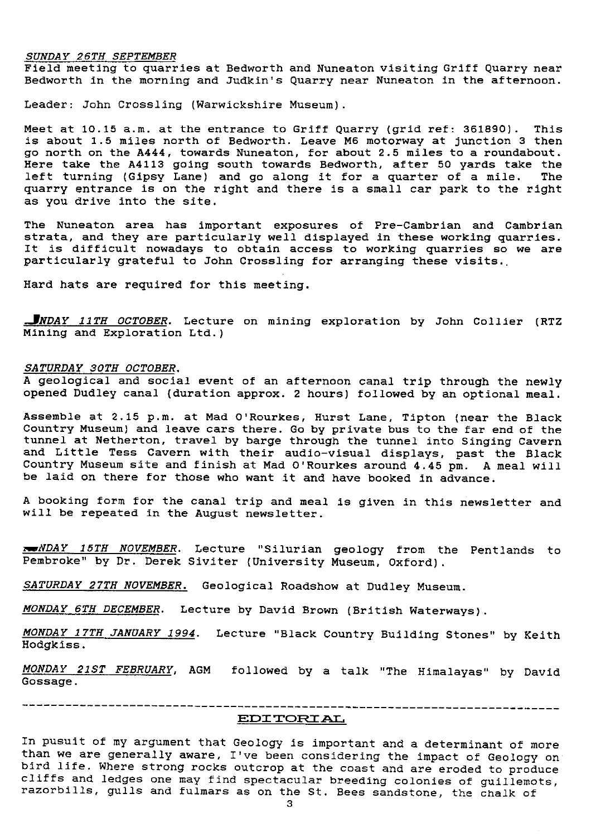#### *SUNDAY 26TH SEPTEMBER*

Field meeting to quarries at Bedworth and Nuneaton visiting Griff Quarry near Bedworth in the morning and Judkin's Quarry near Nuneaton in the afternoon.

Leader: John Crossling (Warwickshire Museum).

Meet at 10.15 a.m. at the entrance to Griff Quarry (grid ref: 361890). This is about 1.5 miles north of Bedworth. Leave M6 motorway at junction 3 then go north on the A444, towards Nuneaton, for about 2.5 miles to a roundabout. Here take the A4113 going south towards Bedworth, after 50 yards take the<br>left turning (Gipsy Lane) and go along it for a quarter of a mile. The left turning (Gipsy Lane) and go along it for a quarter of a mile. quarry entrance is on the right and there is a small car park to the right as you drive into the site.

The Nuneaton area has important exposures of Pre-Cambrian and Cambrian strata, and they are particularly well displayed in these working quarries. It is difficult nowadays to obtain access to working quarries so we are particularly grateful to John Crossling for arranging these visits..

Hard hats are required for this meeting.

*.JNDAY* 11TH OCTOBER. Lecture on mining exploration by John Collier (RTZ Mining and Exploration Ltd.)

#### *SATURDAY 30TH OCTOBER .*

A geological and social event of an afternoon canal trip through the newly opened Dudley canal (duration approx. 2 hours) followed by an optional meal.

Assemble at 2.15 p.m. at Mad O'Rourkes, Hurst Lane, Tipton (near the Black Country Museum) and leave cars there. Go by private bus to the far end of the tunnel at Netherton, travel by barge through the tunnel into Singing Cavern and Little Tess Cavern with their audio-visual displays, past the Black Country Museum site and finish at Mad O'Rourkes around 4.45 pm. A meal will be laid on there for those who want it and have booked in advance.

A booking form for the canal trip and meal is given in this newsletter and will be repeated in the August newsletter.

*wNDA Y 15TH NOVEMBER .* Lecture "Silurian geology from the Pentiands to Pembroke" by Dr. Derek Siviter (University Museum, Oxford).

*SATURDAY 27TH NOVEMBER.* Geological Roadshow at Dudley Museum.

*MONDAY 6TH DECEMBER .* Lecture by David Brown (British Waterways).

*MONDAY 17TH JANUARY 1994 .* Lecture "Black Country Building Stones" by Keith Hodgkiss.

*MONDAY 21ST FEBRUARY, AGM followed by* a talk "The Himalayas" by David Gossage.

# **E1D2 rcJI rpL,**

In pusuit of my argument that Geology is important and a determinant of more than we are generally aware, I've been considering the impact of Geology on bird life. Where strong rocks outcrop at the coast and are eroded to produce cliffs and ledges one may find spectacular breeding colonies of guillemots, razorbills, gulls and fulmars as on the St. Bees sandstone, the chalk of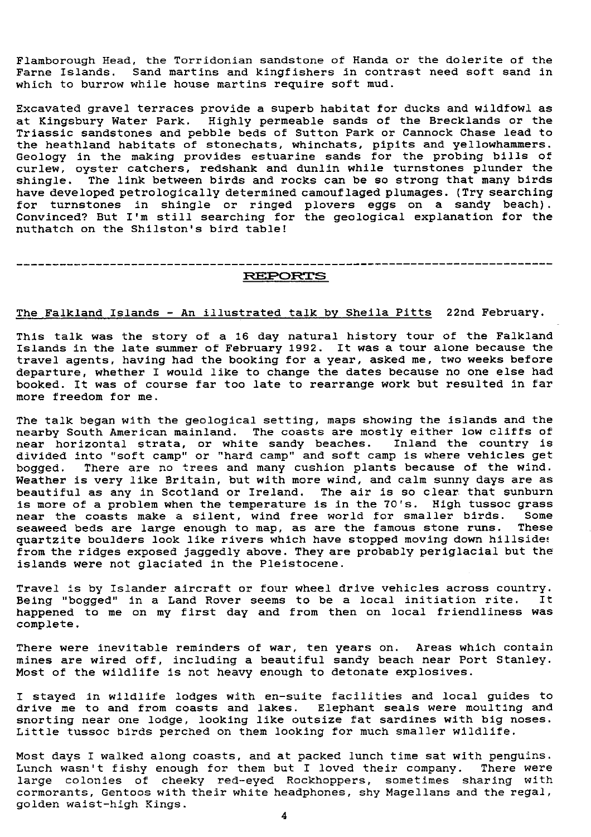Flamborough Head, the Torridonian sandstone of Handa or the dolerite of the Farne Islands. Sand martins and kingfishers in contrast need soft sand in which to burrow while house martins require soft mud.

Excavated gravel terraces provide a superb habitat for ducks and wildfowl as at Kingsbury Water Park. Highly permeable sands of the Brecklands or the Triassic sandstones and pebble beds of Sutton Park or Cannock Chase lead to the heathland habitats of stonechats, whinchats, pipits and yellowhammers. Geology in the making provides estuarine sands for the probing bills of curlew, oyster catchers, redshank and dunlin while turnstones plunder the shingle. The link between birds and rocks can be so strong that many birds have developed petrologically determined camouflaged plumages. (Try searching for turnstones in shingle or ringed plovers eggs on a sandy beach). Convinced? But I'm still searching for the geological explanation for the nuthatch on the Shilston's bird table!

#### ---------------------------------------------------------------------------- **REPORTS**

### The Falkland Islands - An illustrated talk by Sheila Pitts 22nd February.

This talk **was** the story of a 16 day natural history tour of the Falkland Islands in the late summer of February 1992. It was a tour alone because the travel agents, having had the booking for a year, asked me, two weeks before departure, whether I would like to change the dates because no one else had booked. It was of course far too late to rearrange work but resulted in far more freedom for me.

The talk began with the geological setting, maps showing the islands and the nearby South American mainland. The coasts are mostly either low cliffs of near horizontal strata, or white sandy beaches. Inland the country is divided into "soft camp" or "hard camp" and soft camp is where vehicles get bogged. There are no trees and many cushion plants because of the wind. Weather is very like Britain, but with more wind, and calm sunny days are as beautiful as any in Scotland or Ireland. The air is so clear that sunburn is more of a problem when the temperature is in the 70's. High tussoc grass near the coasts make a silent, wind free world for smaller birds. Some seaweed beds are large enough to map, as are the famous stone runs. These quartzite boulders look like rivers which have stopped moving down hillside: from the ridges exposed jaggedly above. They are probably periglacial but the islands were not glaciated in the Pleistocene.

Travel is by Islander aircraft or four wheel drive vehicles across country. Being "bogged" in a Land Rover seems to be a local initiation rite. happened to me on my first day and from then on local friendliness was complete.

There were inevitable reminders of war, ten years on. Areas which contain mines are wired off, including a beautiful sandy beach near Port Stanley. Most of the wildlife is not heavy enough to detonate explosives.

I stayed in wildlife lodges with en-suite facilities and local guides to drive me to and from coasts and lakes. Elephant seals were moulting and snorting near one lodge, looking like outsize fat sardines with big noses. Little tussoc birds perched on them looking for much smaller wildlife.

Most days I walked along coasts, and at packed lunch time sat with penguins. Lunch wasn't fishy enough for them but I loved their company. There were large colonies of cheeky red-eyed Rockhoppers, sometimes sharing with cormorants, Gentoos with their white headphones, shy Magellans and the regal, golden waist-high Kings.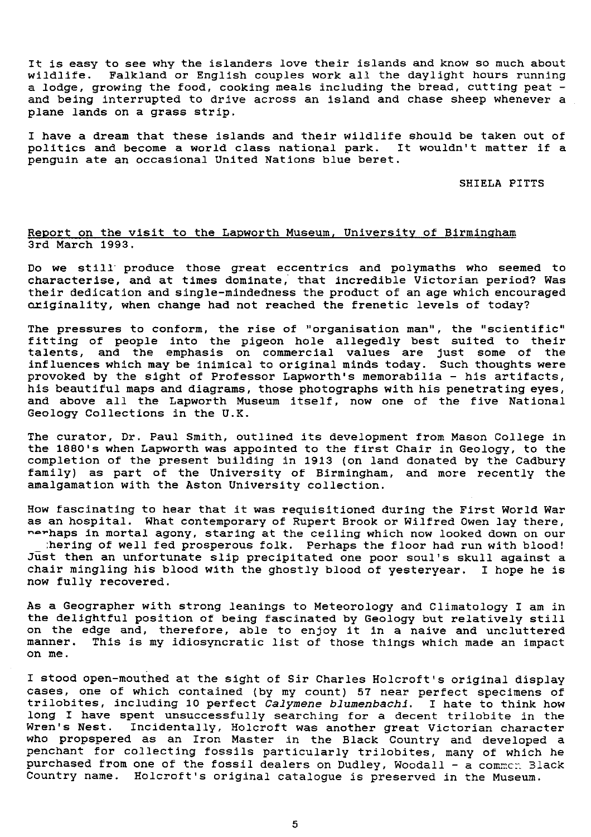It is easy to see why the islanders love their islands and know so much about wildlife. Falkland or English couples work all the daylight hours running a lodge, growing the food, cooking meals including the bread, cutting peat and being interrupted to drive across an island and chase sheep whenever a plane lands on a grass strip.

I have a dream that these islands and their wildlife should be taken out of politics and become a world class national park. It wouldn't matter if a penguin ate an occasional United Nations blue beret.

SHIELA PITTS

#### Report on the visit to the Lapworth Museum, University of Birmingham 3rd March 1993.

Do we still produce those great eccentrics and polymaths who seemed to characterise, and at times dominate, that incredible Victorian period? Was their dedication and single-mindedness the product of an age which encouraged originality, when change had not reached the frenetic levels of today?

The pressures to conform, the rise of "organisation man", the "scientific" fitting of people into the pigeon hole allegedly best suited to their talents, and the emphasis on commercial values are just some of the influences which may be inimical to original minds today. Such thoughts wer $\epsilon$ provoked by the sight of Professor Lapworth's memorabilia - his artifacts, his beautiful maps and diagrams, those photographs with his penetrating eyes, and above all the Lapworth Museum itself, now one of the five National Geology Collections in the U.K.

The curator, Dr. Paul Smith, outlined its development from Mason College in the 1880's when Lapworth **was** appointed to the first Chair in Geology, to the completion of the present building in 1913 (on land donated by the Cadbury family) as part of the University of Birmingham, and more recently the amalgamation with the Aston University collection.

How fascinating to hear that it was requisitioned during the First World War as an hospital. What contemporary of Rupert Brook or Wilfred Owen lay there, nerhaps in mortal agony, staring at the ceiling which now looked down on our :hering of well fed prosperous folk. Perhaps the floor had run with blood! Just then an unfortunate slip precipitated one poor soul's skull against a chair mingling his blood with the ghostly blood of yesteryear. I hope he is now fully recovered.

As a Geographer with strong leanings to Meteorology and Climatology I am in the delightful position of being fascinated by Geology but relatively still on the edge and, therefore, able to enjoy it in a naive and uncluttere manner. This is my idiosyncratic list of those things which made an impact on me.

I stood open-mouthed at the sight of Sir Charles Holcroft's original display cases, one of which contained (by my count) 57 near perfect specimens of trilobites, including 10 perfect Calymene *blumenbachi. I* hate to think how long I have spent unsuccessfully searching for a decent trilobite in the Wren's Nest. Incidentally, Holcroft was another great Victorian character who propspered as an Iron Master in the Black Country and developed a penchant for collecting fossils particularly trilobites, many of which he purchased from one of the fossil dealers on Dudley, Woodall - a common Black Country name. Holcroft's original catalogue is preserved in the Museum.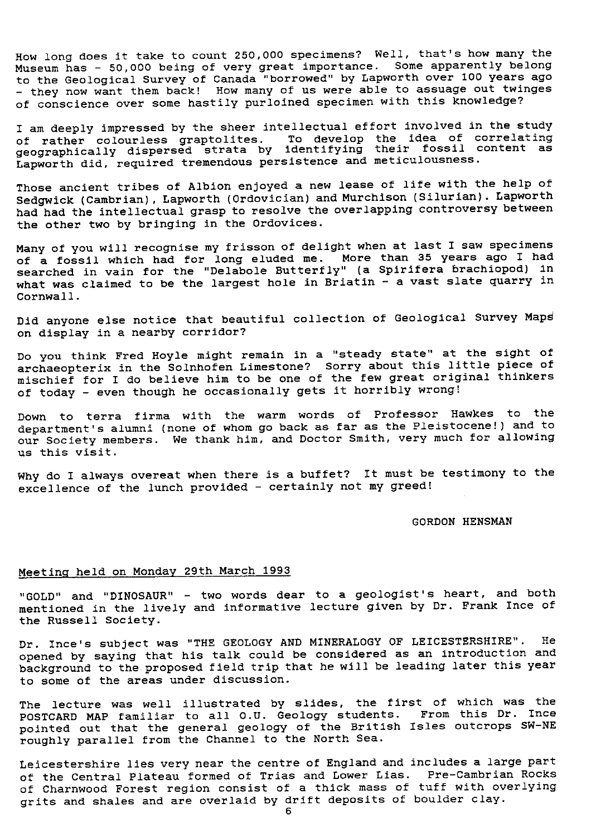How long does it take to count 250,000 specimens? Well, that's how many the Museum has - 50,000 being of very great importance. Some apparently belong to the Geological Survey of Canada "borrowed" by Lapworth over 100 years ago - they now want them back! How many of us were able to assuage out twinges of conscience over some hastily purloined specimen with this knowledge?

I am deeply impressed by the sheer intellectual effort involved in the study of rather colourless graptolites. To develop the idea of correlating geographically dispersed strata by identifying their fossil content as Lapworth did, required tremendous persistence and meticulousness.

Those ancient tribes of Albion enjoyed a new lease of life with the help of Sedgwick (Cambrian), Lapworth (Ordovician) and Murchison (Silurian). Lapworth had had the intellectual grasp to resolve the overlapping controversy between the other two by bringing in the Ordovices.

Many of you will recognise my frisson of delight when at last I saw specimens of a fossil which had for long eluded me. More than 35 years ago I had searched in vain for the "Delabole Butterfly" (a Spirifera brachiopod) in what was claimed to be the largest hole in Briatin - a vast slate quarry in Cornwall.

Did anyone else notice that beautiful collection of Geological Survey Maps on display in a nearby corridor?

Do you think Fred Hoyle might remain in a "steady state" at the sight of archaeopterix in the Soinhofen Limestone? Sorry about this little piece of mischief for I do believe him to be one of the few great original thinkers of today - even though he occasionally gets it horribly wrong!

Down to terra firma with the warm words of Professor Hawkes to the department's alumni (none of whom go back as far as the Pleistocene!) and to our Society members. We thank him, and Doctor Smith, very much for allowing us this visit.

Why do I always overeat when there is a buffet? It must be testimony to the excellence of the lunch provided - certainly not my greed!

#### GORDON HENSMAN

## Meetina held on Monday 29th March 1993

"GOLD" and "DINOSAUR" - two words dear to a geologist's heart, and both mentioned in the lively and informative lecture given by Dr. Frank Ince of the Russell Society.

Dr. Ince's subject was "THE GEOLOGY AND MINERALOGY OF LEICESTERSHIRE". He opened by saying that his talk could be considered as an introduction and background to the proposed field trip that he will be leading later this year to some of the areas under discussion.

The lecture was well illustrated by slides, the first of which was the POSTCARD MAP familiar to all O.U. Geology students. From this Dr. Ince pointed out that the general geology of the British Isles outcrops SW-NE roughly parallel from the Channel to the North Sea.

Leicestershire lies very near the centre of England and includes a large part of the Central Plateau formed of Trias and Lower Lias. Pre-Cambrian Rocks of Charnwood Forest region consist of a thick mass of tuff with overlying grits and shales and are overlaid by drift deposits of boulder clay.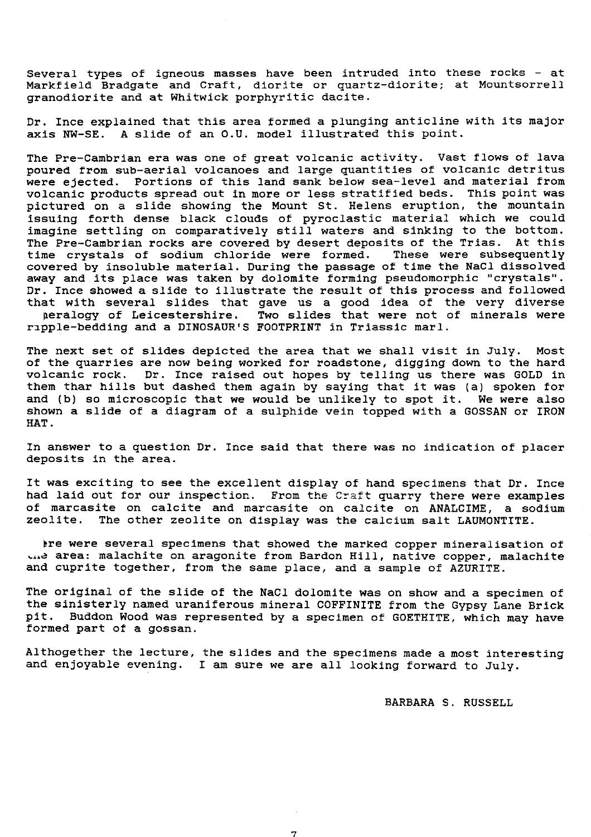Several types of igneous masses have been intruded into these rocks - at Markfield Bradgate and Craft, diorite or quartz-diorite; at Mountsorrell granodiorite and at Whitwick porphyritic dacite.

Dr. Ince explained that this area formed a plunging anticline with its major axis NW-SE. A slide of an O.U. model illustrated this point.

The Pre-Cambrian era was one of great volcanic activity. Vast flows of lava poured from sub-aerial volcanoes and large quantities of volcanic detritus were ejected. Portions of this land sank below sea-level and material from volcanic products spread out in more or less stratified beds. This point was pictured on a slide showing the Mount St. Helens eruption, the mountain issuing forth dense black clouds of pyroclastic material which we could imagine settling on comparatively still waters and sinking to the bottom. The Pre-Cambrian rocks are covered by desert deposits of the Trias. At this time crystals of sodium chloride were formed. These were subsequently covered by insoluble material. During the passage of time the NaCl dissolved away and its place was taken by dolomite forming pseudomorphic "crystals". Dr. Ince showed a slide to illustrate the result of this process and followed that with several slides that gave us a good idea of the very diverse peralogy of Leicestershire. Two slides that were not of minerals were ripple-bedding and a DINOSAUR'S FOOTPRINT in Triassic marl.

The next set of slides depicted the area that we shall visit in July. Most of the quarries are now being worked for roadstone, digging down to the hard volcanic rock. Dr. Ince raised out hopes by telling us there was GOLD in them thar hills but dashed them again by saying that it was (a) spoken for and (b) so microscopic that we would be unlikely to spot it. We were also shown a slide of a diagram of a sulphide vein topped with a GOSSAN or IRON HAT.

In answer to a question Dr. Ince said that there was no indication of placer deposits in the area.

It was exciting to see the excellent display of hand specimens that Dr. Ince had laid out for our inspection. From the Craft quarry there were examples of marcasite on calcite and marcasite on calcite on ANALCIME, a sodium zeolite. The other zeolite on display was the calcium salt LAUMONTITE.

bre were several specimens that showed the marked copper mineralisation of ... area: malachite on aragonite from Bardon Hill, native copper, malachite and cuprite together, from the same place, and a sample of AZURITE.

The original of the slide of the NaCl dolomite was on show and a specimen of the sinisterly named uraniferous mineral COFFINITE from the Gypsy Lane Brick pit. Buddon Wood was represented by a specimen of GOETHITE, which may have formed part of a gossan.

Althogether the lecture, the slides and the specimens made a most interesting and enjoyable evening. I am sure we are all looking forward to July.

7

BARBARA S. RUSSELL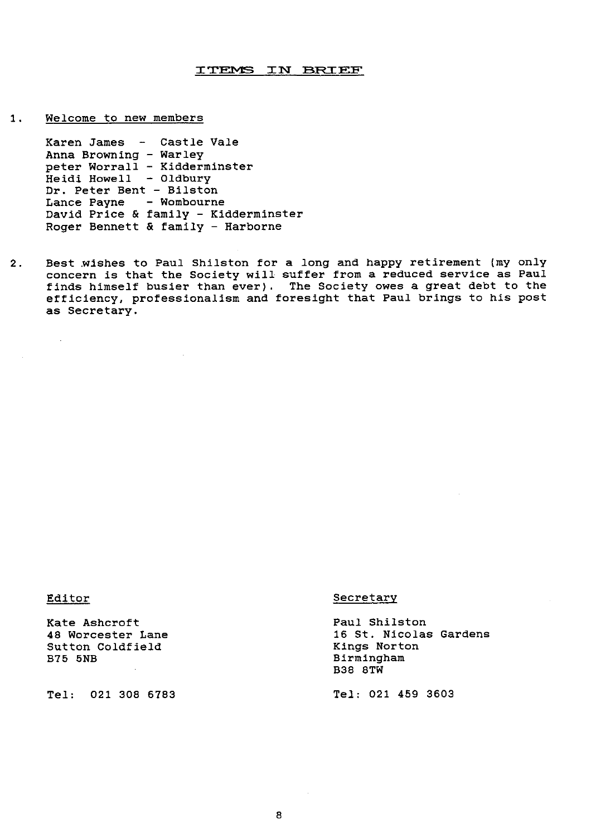#### ITEMS IN BRIEF

1. Welcome to new members

Karen James - Castle Vale Anna Browning - Warley peter Worrall - Kidderminster Heidi Howell - Oldbury Dr. Peter Bent - Bilston Lance Payne - Wombourne David Price & family - Kidderminster Roger Bennett & family - Harborne

2. Best wishes to Paul Shilston for a long and happy retirement (my only concern is that the Society will suffer from a reduced service as Paul finds himself busier than ever). The Society owes a great debt to the efficiency, professionalism and foresight that Paul brings to his post as Secretary.

 $\sim$ 

Exate Ashcroft Canel Controllering Paul Shilston Paul Shilston<br>18 Worcester Lane Paul Controllering Paul Shilston Sutton Coldfield<br>B75 5NB

Tel: 021 308 6783 Tel; 021 459 3603

#### Editor Secretary

16 St. Nicolas Gardens<br>Kings Norton Birmingham B38 8TW